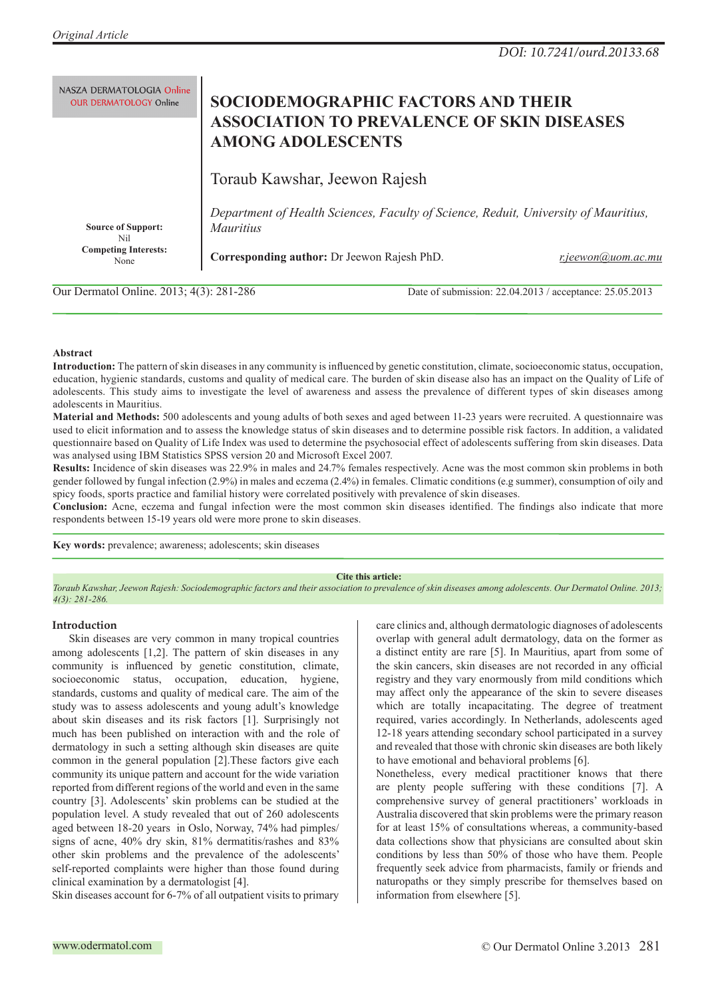NASZA DERMATOLOGIA Online **OUR DERMATOLOGY Online** 

> **Source of Support:**  Nil **Competing Interests:**  None

# **SOCIODEMOGRAPHIC FACTORS AND THEIR ASSOCIATION TO PREVALENCE OF SKIN DISEASES AMONG ADOLESCENTS**

# Toraub Kawshar, Jeewon Rajesh

*Department of Health Sciences, Faculty of Science, Reduit, University of Mauritius, Mauritius*

**Corresponding author:** Dr Jeewon Rajesh PhD. *r.jeewon@uom.ac.mu*

Our Dermatol Online. 2013; 4(3): 281-286 Date of submission: 22.04.2013 / acceptance: 25.05.2013

# **Abstract**

**Introduction:** The pattern of skin diseases in any community is influenced by genetic constitution, climate, socioeconomic status, occupation, education, hygienic standards, customs and quality of medical care. The burden of skin disease also has an impact on the Quality of Life of adolescents. This study aims to investigate the level of awareness and assess the prevalence of different types of skin diseases among adolescents in Mauritius.

**Material and Methods:** 500 adolescents and young adults of both sexes and aged between 11-23 years were recruited. A questionnaire was used to elicit information and to assess the knowledge status of skin diseases and to determine possible risk factors. In addition, a validated questionnaire based on Quality of Life Index was used to determine the psychosocial effect of adolescents suffering from skin diseases. Data was analysed using IBM Statistics SPSS version 20 and Microsoft Excel 2007.

**Results:** Incidence of skin diseases was 22.9% in males and 24.7% females respectively. Acne was the most common skin problems in both gender followed by fungal infection (2.9%) in males and eczema (2.4%) in females. Climatic conditions (e.g summer), consumption of oily and spicy foods, sports practice and familial history were correlated positively with prevalence of skin diseases.

**Conclusion:** Acne, eczema and fungal infection were the most common skin diseases identified. The findings also indicate that more respondents between 15-19 years old were more prone to skin diseases.

**Key words:** prevalence; awareness; adolescents; skin diseases

#### **Cite this article:**

*Toraub Kawshar, Jeewon Rajesh: Sociodemographic factors and their association to prevalence of skin diseases among adolescents. Our Dermatol Online. 2013; 4(3): 281-286.*

#### **Introduction**

Skin diseases are very common in many tropical countries among adolescents [1,2]. The pattern of skin diseases in any community is influenced by genetic constitution, climate, socioeconomic status, occupation, education, hygiene, standards, customs and quality of medical care. The aim of the study was to assess adolescents and young adult's knowledge about skin diseases and its risk factors [1]. Surprisingly not much has been published on interaction with and the role of dermatology in such a setting although skin diseases are quite common in the general population [2].These factors give each community its unique pattern and account for the wide variation reported from different regions of the world and even in the same country [3]. Adolescents' skin problems can be studied at the population level. A study revealed that out of 260 adolescents aged between 18-20 years in Oslo, Norway, 74% had pimples/ signs of acne, 40% dry skin, 81% dermatitis/rashes and 83% other skin problems and the prevalence of the adolescents' self-reported complaints were higher than those found during clinical examination by a dermatologist [4].

Skin diseases account for 6-7% of all outpatient visits to primary

care clinics and, although dermatologic diagnoses of adolescents overlap with general adult dermatology, data on the former as a distinct entity are rare [5]. In Mauritius, apart from some of the skin cancers, skin diseases are not recorded in any official registry and they vary enormously from mild conditions which may affect only the appearance of the skin to severe diseases which are totally incapacitating. The degree of treatment required, varies accordingly. In Netherlands, adolescents aged 12-18 years attending secondary school participated in a survey and revealed that those with chronic skin diseases are both likely to have emotional and behavioral problems [6].

Nonetheless, every medical practitioner knows that there are plenty people suffering with these conditions [7]. A comprehensive survey of general practitioners' workloads in Australia discovered that skin problems were the primary reason for at least 15% of consultations whereas, a community-based data collections show that physicians are consulted about skin conditions by less than 50% of those who have them. People frequently seek advice from pharmacists, family or friends and naturopaths or they simply prescribe for themselves based on information from elsewhere [5].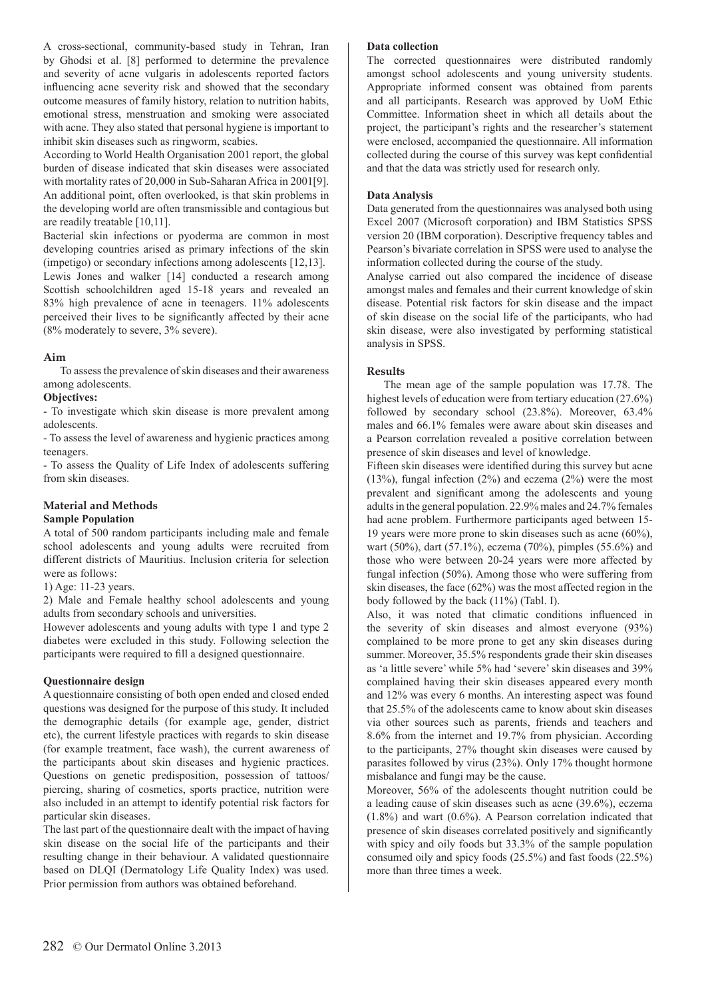A cross-sectional, community-based study in Tehran, Iran by Ghodsi et al. [8] performed to determine the prevalence and severity of acne vulgaris in adolescents reported factors influencing acne severity risk and showed that the secondary outcome measures of family history, relation to nutrition habits, emotional stress, menstruation and smoking were associated with acne. They also stated that personal hygiene is important to inhibit skin diseases such as ringworm, scabies.

According to World Health Organisation 2001 report, the global burden of disease indicated that skin diseases were associated with mortality rates of 20,000 in Sub-Saharan Africa in 2001[9]. An additional point, often overlooked, is that skin problems in the developing world are often transmissible and contagious but are readily treatable [10,11].

Bacterial skin infections or pyoderma are common in most developing countries arised as primary infections of the skin (impetigo) or secondary infections among adolescents [12,13].

Lewis Jones and walker [14] conducted a research among Scottish schoolchildren aged 15-18 years and revealed an 83% high prevalence of acne in teenagers. 11% adolescents perceived their lives to be significantly affected by their acne (8% moderately to severe, 3% severe).

# **Aim**

To assess the prevalence of skin diseases and their awareness among adolescents.

# **Objectives:**

- To investigate which skin disease is more prevalent among adolescents.

- To assess the level of awareness and hygienic practices among teenagers.

- To assess the Quality of Life Index of adolescents suffering from skin diseases.

#### **Material and Methods Sample Population**

A total of 500 random participants including male and female school adolescents and young adults were recruited from different districts of Mauritius. Inclusion criteria for selection were as follows:

1) Age: 11-23 years.

2) Male and Female healthy school adolescents and young adults from secondary schools and universities.

However adolescents and young adults with type 1 and type 2 diabetes were excluded in this study. Following selection the participants were required to fill a designed questionnaire.

# **Questionnaire design**

A questionnaire consisting of both open ended and closed ended questions was designed for the purpose of this study. It included the demographic details (for example age, gender, district etc), the current lifestyle practices with regards to skin disease (for example treatment, face wash), the current awareness of the participants about skin diseases and hygienic practices. Questions on genetic predisposition, possession of tattoos/ piercing, sharing of cosmetics, sports practice, nutrition were also included in an attempt to identify potential risk factors for particular skin diseases.

The last part of the questionnaire dealt with the impact of having skin disease on the social life of the participants and their resulting change in their behaviour. A validated questionnaire based on DLQI (Dermatology Life Quality Index) was used. Prior permission from authors was obtained beforehand.

# **Data collection**

The corrected questionnaires were distributed randomly amongst school adolescents and young university students. Appropriate informed consent was obtained from parents and all participants. Research was approved by UoM Ethic Committee. Information sheet in which all details about the project, the participant's rights and the researcher's statement were enclosed, accompanied the questionnaire. All information collected during the course of this survey was kept confidential and that the data was strictly used for research only.

# **Data Analysis**

Data generated from the questionnaires was analysed both using Excel 2007 (Microsoft corporation) and IBM Statistics SPSS version 20 (IBM corporation). Descriptive frequency tables and Pearson's bivariate correlation in SPSS were used to analyse the information collected during the course of the study.

Analyse carried out also compared the incidence of disease amongst males and females and their current knowledge of skin disease. Potential risk factors for skin disease and the impact of skin disease on the social life of the participants, who had skin disease, were also investigated by performing statistical analysis in SPSS.

# **Results**

The mean age of the sample population was 17.78. The highest levels of education were from tertiary education (27.6%) followed by secondary school (23.8%). Moreover, 63.4% males and 66.1% females were aware about skin diseases and a Pearson correlation revealed a positive correlation between presence of skin diseases and level of knowledge.

Fifteen skin diseases were identified during this survey but acne  $(13%)$ , fungal infection  $(2%)$  and eczema  $(2%)$  were the most prevalent and significant among the adolescents and young adults in the general population. 22.9% males and 24.7% females had acne problem. Furthermore participants aged between 15- 19 years were more prone to skin diseases such as acne (60%), wart (50%), dart (57.1%), eczema (70%), pimples (55.6%) and those who were between 20-24 years were more affected by fungal infection (50%). Among those who were suffering from skin diseases, the face (62%) was the most affected region in the body followed by the back (11%) (Tabl. I).

Also, it was noted that climatic conditions influenced in the severity of skin diseases and almost everyone (93%) complained to be more prone to get any skin diseases during summer. Moreover, 35.5% respondents grade their skin diseases as 'a little severe' while 5% had 'severe' skin diseases and 39% complained having their skin diseases appeared every month and 12% was every 6 months. An interesting aspect was found that 25.5% of the adolescents came to know about skin diseases via other sources such as parents, friends and teachers and 8.6% from the internet and 19.7% from physician. According to the participants, 27% thought skin diseases were caused by parasites followed by virus (23%). Only 17% thought hormone misbalance and fungi may be the cause.

Moreover, 56% of the adolescents thought nutrition could be a leading cause of skin diseases such as acne (39.6%), eczema (1.8%) and wart (0.6%). A Pearson correlation indicated that presence of skin diseases correlated positively and significantly with spicy and oily foods but 33.3% of the sample population consumed oily and spicy foods (25.5%) and fast foods (22.5%) more than three times a week.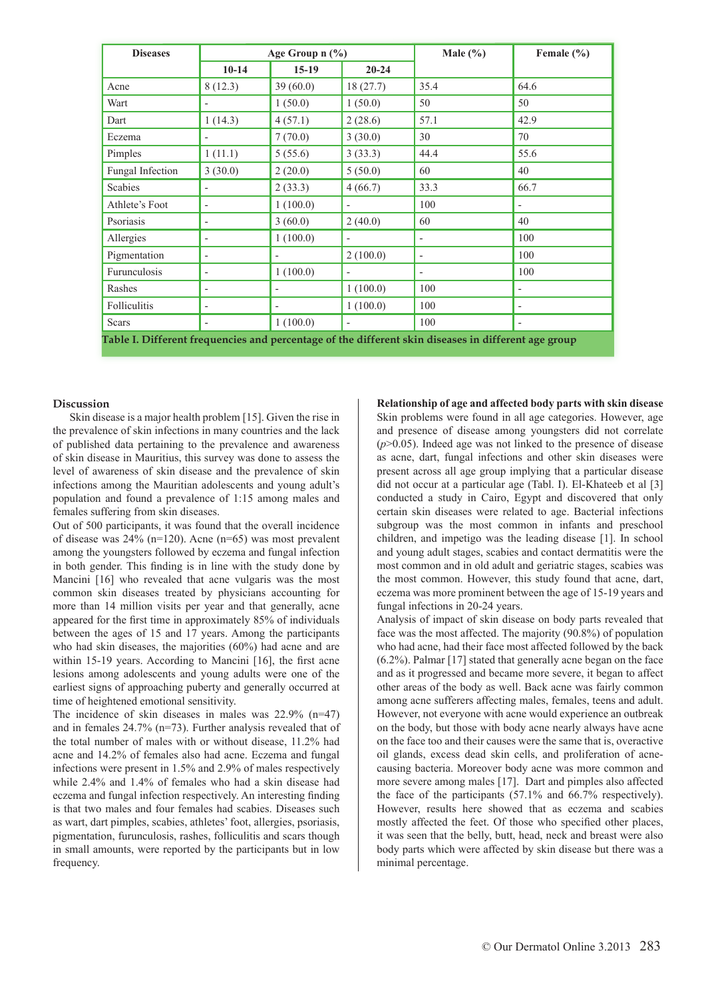| <b>Diseases</b>                                                                                     | Age Group n (%)              |          |                          | Male $(\% )$             | Female (%)               |
|-----------------------------------------------------------------------------------------------------|------------------------------|----------|--------------------------|--------------------------|--------------------------|
|                                                                                                     | $10-14$                      | $15-19$  | $20 - 24$                |                          |                          |
| Acne                                                                                                | 8(12.3)                      | 39(60.0) | 18(27.7)                 | 35.4                     | 64.6                     |
| Wart                                                                                                |                              | 1(50.0)  | 1(50.0)                  | 50                       | 50                       |
| Dart                                                                                                | 1(14.3)                      | 4(57.1)  | 2(28.6)                  | 57.1                     | 42.9                     |
| Eczema                                                                                              |                              | 7(70.0)  | 3(30.0)                  | 30                       | 70                       |
| Pimples                                                                                             | 1(11.1)                      | 5(55.6)  | 3(33.3)                  | 44.4                     | 55.6                     |
| <b>Fungal Infection</b>                                                                             | 3(30.0)                      | 2(20.0)  | 5(50.0)                  | 60                       | 40                       |
| <b>Scabies</b>                                                                                      | $\overline{\phantom{0}}$     | 2(33.3)  | 4(66.7)                  | 33.3                     | 66.7                     |
| Athlete's Foot                                                                                      | $\overline{\phantom{0}}$     | 1(100.0) | $\overline{a}$           | 100                      |                          |
| Psoriasis                                                                                           | $\overline{\phantom{0}}$     | 3(60.0)  | 2(40.0)                  | 60                       | 40                       |
| Allergies                                                                                           | $\overline{\phantom{0}}$     | 1(100.0) |                          |                          | 100                      |
| Pigmentation                                                                                        | $\blacksquare$               |          | 2(100.0)                 | $\overline{\phantom{a}}$ | 100                      |
| Furunculosis                                                                                        | $\overline{\phantom{a}}$     | 1(100.0) |                          |                          | 100                      |
| Rashes                                                                                              | $\overline{\phantom{0}}$     |          | 1(100.0)                 | 100                      |                          |
| <b>Folliculitis</b>                                                                                 | $\overline{\phantom{0}}$     |          | 1(100.0)                 | 100                      | $\overline{\phantom{a}}$ |
| <b>Scars</b>                                                                                        | $\qquad \qquad \blacksquare$ | 1(100.0) | $\overline{\phantom{a}}$ | 100                      | $\overline{\phantom{a}}$ |
| Table I. Different frequencies and percentage of the different skin diseases in different age group |                              |          |                          |                          |                          |

#### **Discussion**

Skin disease is a major health problem [15]. Given the rise in the prevalence of skin infections in many countries and the lack of published data pertaining to the prevalence and awareness of skin disease in Mauritius, this survey was done to assess the level of awareness of skin disease and the prevalence of skin infections among the Mauritian adolescents and young adult's population and found a prevalence of 1:15 among males and females suffering from skin diseases.

Out of 500 participants, it was found that the overall incidence of disease was 24% (n=120). Acne (n=65) was most prevalent among the youngsters followed by eczema and fungal infection in both gender. This finding is in line with the study done by Mancini [16] who revealed that acne vulgaris was the most common skin diseases treated by physicians accounting for more than 14 million visits per year and that generally, acne appeared for the first time in approximately 85% of individuals between the ages of 15 and 17 years. Among the participants who had skin diseases, the majorities (60%) had acne and are within 15-19 years. According to Mancini [16], the first acne lesions among adolescents and young adults were one of the earliest signs of approaching puberty and generally occurred at time of heightened emotional sensitivity.

The incidence of skin diseases in males was 22.9% (n=47) and in females 24.7% (n=73). Further analysis revealed that of the total number of males with or without disease, 11.2% had acne and 14.2% of females also had acne. Eczema and fungal infections were present in 1.5% and 2.9% of males respectively while 2.4% and 1.4% of females who had a skin disease had eczema and fungal infection respectively. An interesting finding is that two males and four females had scabies. Diseases such as wart, dart pimples, scabies, athletes' foot, allergies, psoriasis, pigmentation, furunculosis, rashes, folliculitis and scars though in small amounts, were reported by the participants but in low frequency.

**Relationship of age and affected body parts with skin disease** Skin problems were found in all age categories. However, age and presence of disease among youngsters did not correlate  $(p>0.05)$ . Indeed age was not linked to the presence of disease as acne, dart, fungal infections and other skin diseases were present across all age group implying that a particular disease did not occur at a particular age (Tabl. I). El-Khateeb et al [3] conducted a study in Cairo, Egypt and discovered that only certain skin diseases were related to age. Bacterial infections subgroup was the most common in infants and preschool children, and impetigo was the leading disease [1]. In school and young adult stages, scabies and contact dermatitis were the most common and in old adult and geriatric stages, scabies was the most common. However, this study found that acne, dart, eczema was more prominent between the age of 15-19 years and fungal infections in 20-24 years.

Analysis of impact of skin disease on body parts revealed that face was the most affected. The majority (90.8%) of population who had acne, had their face most affected followed by the back (6.2%). Palmar [17] stated that generally acne began on the face and as it progressed and became more severe, it began to affect other areas of the body as well. Back acne was fairly common among acne sufferers affecting males, females, teens and adult. However, not everyone with acne would experience an outbreak on the body, but those with body acne nearly always have acne on the face too and their causes were the same that is, overactive oil glands, excess dead skin cells, and proliferation of acnecausing bacteria. Moreover body acne was more common and more severe among males [17]. Dart and pimples also affected the face of the participants (57.1% and 66.7% respectively). However, results here showed that as eczema and scabies mostly affected the feet. Of those who specified other places, it was seen that the belly, butt, head, neck and breast were also body parts which were affected by skin disease but there was a minimal percentage.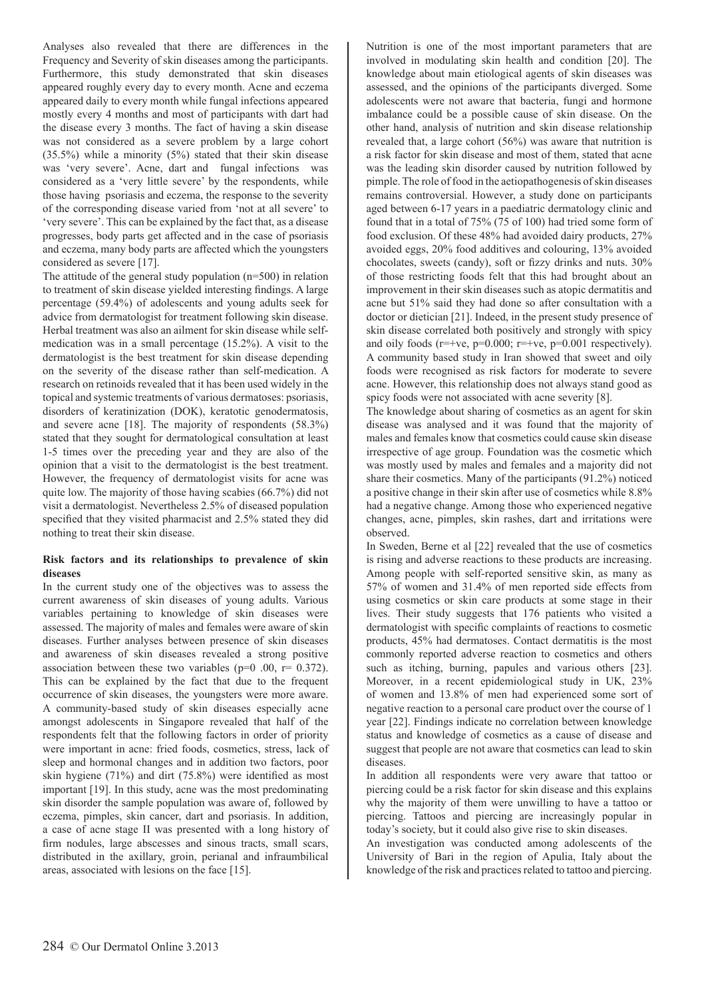Analyses also revealed that there are differences in the Frequency and Severity of skin diseases among the participants. Furthermore, this study demonstrated that skin diseases appeared roughly every day to every month. Acne and eczema appeared daily to every month while fungal infections appeared mostly every 4 months and most of participants with dart had the disease every 3 months. The fact of having a skin disease was not considered as a severe problem by a large cohort (35.5%) while a minority (5%) stated that their skin disease was 'very severe'. Acne, dart and fungal infections was considered as a 'very little severe' by the respondents, while those having psoriasis and eczema, the response to the severity of the corresponding disease varied from 'not at all severe' to 'very severe'. This can be explained by the fact that, as a disease progresses, body parts get affected and in the case of psoriasis and eczema, many body parts are affected which the youngsters considered as severe [17].

The attitude of the general study population (n=500) in relation to treatment of skin disease yielded interesting findings. A large percentage (59.4%) of adolescents and young adults seek for advice from dermatologist for treatment following skin disease. Herbal treatment was also an ailment for skin disease while selfmedication was in a small percentage (15.2%). A visit to the dermatologist is the best treatment for skin disease depending on the severity of the disease rather than self-medication. A research on retinoids revealed that it has been used widely in the topical and systemic treatments of various dermatoses: psoriasis, disorders of keratinization (DOK), keratotic genodermatosis, and severe acne [18]. The majority of respondents (58.3%) stated that they sought for dermatological consultation at least 1-5 times over the preceding year and they are also of the opinion that a visit to the dermatologist is the best treatment. However, the frequency of dermatologist visits for acne was quite low. The majority of those having scabies (66.7%) did not visit a dermatologist. Nevertheless 2.5% of diseased population specified that they visited pharmacist and 2.5% stated they did nothing to treat their skin disease.

# **Risk factors and its relationships to prevalence of skin diseases**

In the current study one of the objectives was to assess the current awareness of skin diseases of young adults. Various variables pertaining to knowledge of skin diseases were assessed. The majority of males and females were aware of skin diseases. Further analyses between presence of skin diseases and awareness of skin diseases revealed a strong positive association between these two variables ( $p=0.00$ ,  $r= 0.372$ ). This can be explained by the fact that due to the frequent occurrence of skin diseases, the youngsters were more aware. A community-based study of skin diseases especially acne amongst adolescents in Singapore revealed that half of the respondents felt that the following factors in order of priority were important in acne: fried foods, cosmetics, stress, lack of sleep and hormonal changes and in addition two factors, poor skin hygiene (71%) and dirt (75.8%) were identified as most important [19]. In this study, acne was the most predominating skin disorder the sample population was aware of, followed by eczema, pimples, skin cancer, dart and psoriasis. In addition, a case of acne stage II was presented with a long history of firm nodules, large abscesses and sinous tracts, small scars, distributed in the axillary, groin, perianal and infraumbilical areas, associated with lesions on the face [15].

Nutrition is one of the most important parameters that are involved in modulating skin health and condition [20]. The knowledge about main etiological agents of skin diseases was assessed, and the opinions of the participants diverged. Some adolescents were not aware that bacteria, fungi and hormone imbalance could be a possible cause of skin disease. On the other hand, analysis of nutrition and skin disease relationship revealed that, a large cohort (56%) was aware that nutrition is a risk factor for skin disease and most of them, stated that acne was the leading skin disorder caused by nutrition followed by pimple. The role of food in the aetiopathogenesis of skin diseases remains controversial. However, a study done on participants aged between 6-17 years in a paediatric dermatology clinic and found that in a total of 75% (75 of 100) had tried some form of food exclusion. Of these 48% had avoided dairy products, 27% avoided eggs, 20% food additives and colouring, 13% avoided chocolates, sweets (candy), soft or fizzy drinks and nuts. 30% of those restricting foods felt that this had brought about an improvement in their skin diseases such as atopic dermatitis and acne but 51% said they had done so after consultation with a doctor or dietician [21]. Indeed, in the present study presence of skin disease correlated both positively and strongly with spicy and oily foods ( $r=+ve$ ,  $p=0.000$ ;  $r=+ve$ ,  $p=0.001$  respectively). A community based study in Iran showed that sweet and oily foods were recognised as risk factors for moderate to severe acne. However, this relationship does not always stand good as spicy foods were not associated with acne severity [8].

The knowledge about sharing of cosmetics as an agent for skin disease was analysed and it was found that the majority of males and females know that cosmetics could cause skin disease irrespective of age group. Foundation was the cosmetic which was mostly used by males and females and a majority did not share their cosmetics. Many of the participants (91.2%) noticed a positive change in their skin after use of cosmetics while 8.8% had a negative change. Among those who experienced negative changes, acne, pimples, skin rashes, dart and irritations were observed.

In Sweden, Berne et al [22] revealed that the use of cosmetics is rising and adverse reactions to these products are increasing. Among people with self-reported sensitive skin, as many as 57% of women and 31.4% of men reported side effects from using cosmetics or skin care products at some stage in their lives. Their study suggests that 176 patients who visited a dermatologist with specific complaints of reactions to cosmetic products, 45% had dermatoses. Contact dermatitis is the most commonly reported adverse reaction to cosmetics and others such as itching, burning, papules and various others [23]. Moreover, in a recent epidemiological study in UK, 23% of women and 13.8% of men had experienced some sort of negative reaction to a personal care product over the course of 1 year [22]. Findings indicate no correlation between knowledge status and knowledge of cosmetics as a cause of disease and suggest that people are not aware that cosmetics can lead to skin diseases.

In addition all respondents were very aware that tattoo or piercing could be a risk factor for skin disease and this explains why the majority of them were unwilling to have a tattoo or piercing. Tattoos and piercing are increasingly popular in today's society, but it could also give rise to skin diseases.

An investigation was conducted among adolescents of the University of Bari in the region of Apulia, Italy about the knowledge of the risk and practices related to tattoo and piercing.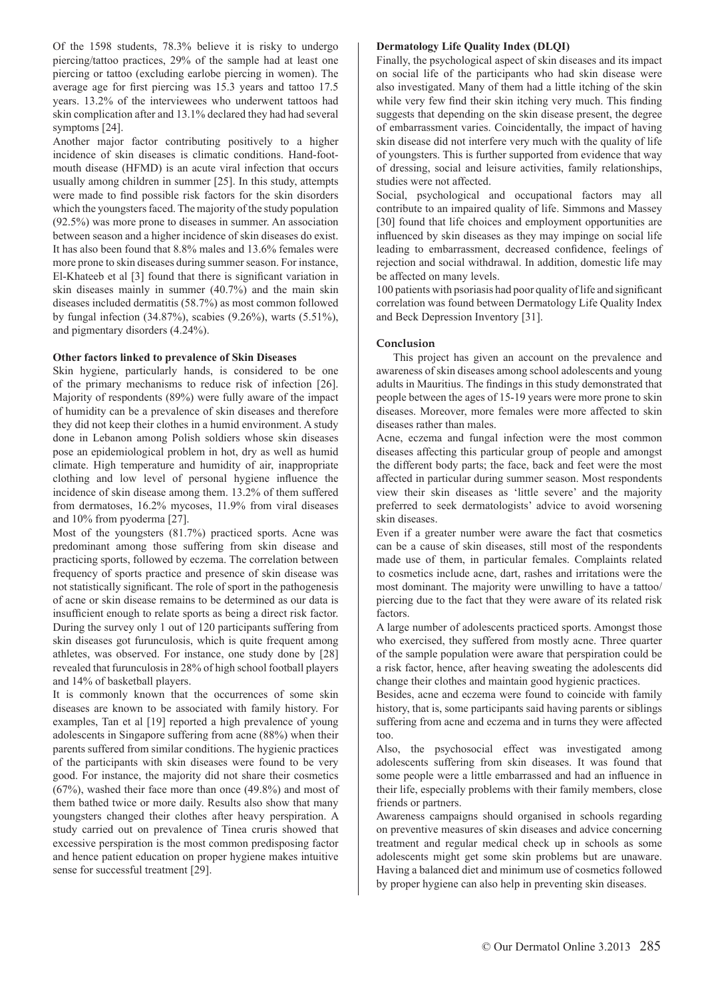Of the 1598 students, 78.3% believe it is risky to undergo piercing/tattoo practices, 29% of the sample had at least one piercing or tattoo (excluding earlobe piercing in women). The average age for first piercing was 15.3 years and tattoo 17.5 years. 13.2% of the interviewees who underwent tattoos had skin complication after and 13.1% declared they had had several symptoms [24].

Another major factor contributing positively to a higher incidence of skin diseases is climatic conditions. Hand-footmouth disease (HFMD) is an acute viral infection that occurs usually among children in summer [25]. In this study, attempts were made to find possible risk factors for the skin disorders which the youngsters faced. The majority of the study population (92.5%) was more prone to diseases in summer. An association between season and a higher incidence of skin diseases do exist. It has also been found that 8.8% males and 13.6% females were more prone to skin diseases during summer season. For instance, El-Khateeb et al [3] found that there is significant variation in skin diseases mainly in summer (40.7%) and the main skin diseases included dermatitis (58.7%) as most common followed by fungal infection (34.87%), scabies (9.26%), warts (5.51%), and pigmentary disorders (4.24%).

#### **Other factors linked to prevalence of Skin Diseases**

Skin hygiene, particularly hands, is considered to be one of the primary mechanisms to reduce risk of infection [26]. Majority of respondents (89%) were fully aware of the impact of humidity can be a prevalence of skin diseases and therefore they did not keep their clothes in a humid environment. A study done in Lebanon among Polish soldiers whose skin diseases pose an epidemiological problem in hot, dry as well as humid climate. High temperature and humidity of air, inappropriate clothing and low level of personal hygiene influence the incidence of skin disease among them. 13.2% of them suffered from dermatoses, 16.2% mycoses, 11.9% from viral diseases and 10% from pyoderma [27].

Most of the youngsters (81.7%) practiced sports. Acne was predominant among those suffering from skin disease and practicing sports, followed by eczema. The correlation between frequency of sports practice and presence of skin disease was not statistically significant. The role of sport in the pathogenesis of acne or skin disease remains to be determined as our data is insufficient enough to relate sports as being a direct risk factor. During the survey only 1 out of 120 participants suffering from skin diseases got furunculosis, which is quite frequent among athletes, was observed. For instance, one study done by [28] revealed that furunculosis in 28% of high school football players and 14% of basketball players.

It is commonly known that the occurrences of some skin diseases are known to be associated with family history. For examples, Tan et al [19] reported a high prevalence of young adolescents in Singapore suffering from acne (88%) when their parents suffered from similar conditions. The hygienic practices of the participants with skin diseases were found to be very good. For instance, the majority did not share their cosmetics (67%), washed their face more than once (49.8%) and most of them bathed twice or more daily. Results also show that many youngsters changed their clothes after heavy perspiration. A study carried out on prevalence of Tinea cruris showed that excessive perspiration is the most common predisposing factor and hence patient education on proper hygiene makes intuitive sense for successful treatment [29].

# **Dermatology Life Quality Index (DLQI)**

Finally, the psychological aspect of skin diseases and its impact on social life of the participants who had skin disease were also investigated. Many of them had a little itching of the skin while very few find their skin itching very much. This finding suggests that depending on the skin disease present, the degree of embarrassment varies. Coincidentally, the impact of having skin disease did not interfere very much with the quality of life of youngsters. This is further supported from evidence that way of dressing, social and leisure activities, family relationships, studies were not affected.

Social, psychological and occupational factors may all contribute to an impaired quality of life. Simmons and Massey [30] found that life choices and employment opportunities are influenced by skin diseases as they may impinge on social life leading to embarrassment, decreased confidence, feelings of rejection and social withdrawal. In addition, domestic life may be affected on many levels.

100 patients with psoriasis had poor quality of life and significant correlation was found between Dermatology Life Quality Index and Beck Depression Inventory [31].

#### **Conclusion**

This project has given an account on the prevalence and awareness of skin diseases among school adolescents and young adults in Mauritius. The findings in this study demonstrated that people between the ages of 15-19 years were more prone to skin diseases. Moreover, more females were more affected to skin diseases rather than males.

Acne, eczema and fungal infection were the most common diseases affecting this particular group of people and amongst the different body parts; the face, back and feet were the most affected in particular during summer season. Most respondents view their skin diseases as 'little severe' and the majority preferred to seek dermatologists' advice to avoid worsening skin diseases.

Even if a greater number were aware the fact that cosmetics can be a cause of skin diseases, still most of the respondents made use of them, in particular females. Complaints related to cosmetics include acne, dart, rashes and irritations were the most dominant. The majority were unwilling to have a tattoo/ piercing due to the fact that they were aware of its related risk factors.

A large number of adolescents practiced sports. Amongst those who exercised, they suffered from mostly acne. Three quarter of the sample population were aware that perspiration could be a risk factor, hence, after heaving sweating the adolescents did change their clothes and maintain good hygienic practices.

Besides, acne and eczema were found to coincide with family history, that is, some participants said having parents or siblings suffering from acne and eczema and in turns they were affected too.

Also, the psychosocial effect was investigated among adolescents suffering from skin diseases. It was found that some people were a little embarrassed and had an influence in their life, especially problems with their family members, close friends or partners.

Awareness campaigns should organised in schools regarding on preventive measures of skin diseases and advice concerning treatment and regular medical check up in schools as some adolescents might get some skin problems but are unaware. Having a balanced diet and minimum use of cosmetics followed by proper hygiene can also help in preventing skin diseases.